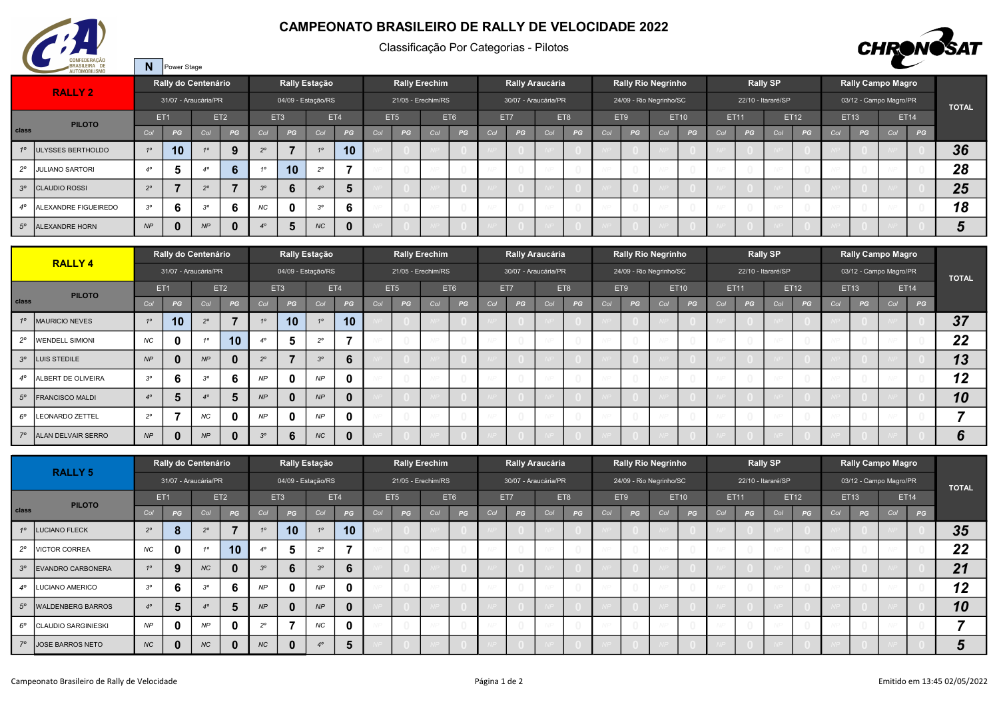

N Power Stage

## CAMPEONATO BRASILEIRO DE RALLY DE VELOCIDADE 2022

Classificação Por Categorias - Pilotos



|             | <b>AU I UIVIUDILIOIVIU</b>   |                        |          |                      |                 |                        |     |                    |                 |     |                      |     |     |     |      |                      |     |     |     |                           |             |             |    |                    |      |             |                          |     |             |              |
|-------------|------------------------------|------------------------|----------|----------------------|-----------------|------------------------|-----|--------------------|-----------------|-----|----------------------|-----|-----|-----|------|----------------------|-----|-----|-----|---------------------------|-------------|-------------|----|--------------------|------|-------------|--------------------------|-----|-------------|--------------|
|             | <b>RALLY 2</b>               |                        |          | Rally do Centenário  |                 |                        |     | Rally Estação      |                 |     | <b>Rally Erechim</b> |     |     |     |      | Rally Araucária      |     |     |     | <b>Rally Rio Negrinho</b> |             |             |    | <b>Rally SP</b>    |      |             | <b>Rally Campo Magro</b> |     |             |              |
|             |                              |                        |          | 31/07 - Araucária/PR |                 |                        |     | 04/09 - Estação/RS |                 |     | 21/05 - Erechim/RS   |     |     |     |      | 30/07 - Araucária/PR |     |     |     | 24/09 - Rio Negrinho/SC   |             |             |    | 22/10 - Itararé/SP |      |             | 03/12 - Campo Magro/PR   |     |             | <b>TOTAL</b> |
|             | <b>PILOTO</b>                | ET <sub>1</sub>        |          |                      | ET <sub>2</sub> |                        | ET3 |                    | ET4             |     | ET <sub>5</sub>      |     | ET6 |     | ET7  |                      | ET8 |     | ET9 |                           | <b>ET10</b> | <b>ET11</b> |    |                    | ET12 | <b>ET13</b> |                          |     | <b>ET14</b> |              |
| class       |                              | Col                    | PG       | Col                  | PG              | Col                    | PG  | Col                | PG              | Col | PG                   | Col | PG  | Col | PG . | Col                  | PG  | Col | PG  | Col                       | PG          | <b>Col</b>  | PG | Col                | PG   | Col         | PG                       | Col | PG          |              |
|             | 1º ULYSSES BERTHOLDO         |                        | 10       |                      | 9               |                        |     |                    | 10 <sup>1</sup> |     |                      |     |     |     |      |                      |     |     |     |                           |             |             |    |                    |      |             |                          |     |             | 36           |
| $2^{\circ}$ | <b>JULIANO SARTORI</b>       | $\Lambda$ <sup>o</sup> | Ð        | $A^{\circ}$          | 6               | $\overline{a}$         | 10  | $\Omega$           |                 |     |                      |     |     |     |      |                      |     |     |     |                           |             |             |    |                    |      |             |                          |     |             | 28           |
|             | 3 <sup>°</sup> CLAUDIO ROSSI | $2^{\circ}$            |          | $2^{\circ}$          |                 | 3 <sup>o</sup>         | 6   |                    |                 |     |                      |     |     |     |      |                      |     |     |     |                           |             |             |    |                    |      |             |                          |     |             | 25           |
| $4^\circ$   | ALEXANDRE FIGUEIREDO         | $3^{\circ}$            | 6        | $3^{\circ}$          | 6               | <b>NC</b>              | n   | 20                 | b               |     |                      |     |     |     |      |                      |     |     |     |                           |             |             |    |                    |      |             |                          |     |             | 18           |
| $5^\circ$   | <b>ALEXANDRE HORN</b>        | NP                     | $\bf{0}$ | NP                   | $\mathbf{0}$    | $\Lambda$ <sup>o</sup> | 5   | <b>NC</b>          |                 |     |                      |     |     |     |      |                      |     |     |     |                           |             |             |    |                    |      |             |                          |     |             |              |

|       |                             |                  |                 | Rally do Centenário  |                 |                |                 | Rally Estação      |              |     |                    | <b>Rally Erechim</b> |     |     |     | Rally Araucária      |     |     |     | <b>Rally Rio Negrinho</b> |      |     |             | <b>Rally SP</b>    |             |     | <b>Rally Campo Magro</b> |     |             |              |
|-------|-----------------------------|------------------|-----------------|----------------------|-----------------|----------------|-----------------|--------------------|--------------|-----|--------------------|----------------------|-----|-----|-----|----------------------|-----|-----|-----|---------------------------|------|-----|-------------|--------------------|-------------|-----|--------------------------|-----|-------------|--------------|
|       | <b>RALLY 4</b>              |                  |                 | 31/07 - Araucária/PR |                 |                |                 | 04/09 - Estação/RS |              |     | 21/05 - Erechim/RS |                      |     |     |     | 30/07 - Araucária/PR |     |     |     | 24/09 - Rio Negrinho/SC   |      |     |             | 22/10 - Itararé/SP |             |     | 03/12 - Campo Magro/PR   |     |             | <b>TOTAL</b> |
|       | <b>PILOTO</b>               |                  | ET <sub>1</sub> |                      | ET <sub>2</sub> |                | ET <sub>3</sub> |                    | ET4          |     | ET <sub>5</sub>    |                      | ET6 |     | ET7 |                      | ET8 |     | ET9 |                           | ET10 |     | <b>ET11</b> |                    | <b>ET12</b> |     | ET13                     |     | <b>ET14</b> |              |
| class |                             | Col              | PG              | Col                  | PG              | Col            | PG              | Col                | PG           | Col | PG                 | Col                  | PG  | Col | PG  | Col                  | PG  | Col | PG  | Col                       | PG   | Col | PG          | Col                | PG          | Col | PG                       | Col | PG          |              |
|       | 1º   MAURICIO NEVES         | 10 <sup>10</sup> | 10              | $2^{\circ}$          |                 | 10             | 10 <sup>°</sup> |                    | 10           |     |                    |                      |     |     |     |                      |     |     |     |                           |      |     |             |                    |             |     |                          |     |             | 37           |
|       | 2° WENDELL SIMIONI          | <b>NC</b>        | 0               | 10 <sup>10</sup>     | 10              | $\overline{A}$ |                 | $20^{\circ}$       |              |     |                    |                      |     |     |     |                      |     |     |     |                           |      |     |             |                    |             |     |                          |     |             | 22           |
|       | 3 <sup>°</sup> LUIS STEDILE | NP               | 0               | NP                   | $\mathbf 0$     | $2^{\circ}$    |                 | 3 <sup>o</sup>     | 6            |     |                    |                      |     |     |     |                      |     |     |     |                           |      |     |             |                    |             |     |                          |     |             | 13           |
|       | 4° ALBERT DE OLIVEIRA       | $3^{\circ}$      | 6               | $3^{\circ}$          | 6               | NP             |                 | NP                 | $\mathbf{0}$ |     |                    |                      |     |     |     |                      |     |     |     |                           |      |     |             |                    |             |     |                          |     |             | 12           |
|       | 5° FRANCISCO MALDI          | 40               | 5.              | 40                   |                 | NP             |                 | NP                 | $\mathbf{0}$ |     |                    |                      |     |     |     |                      |     |     |     |                           |      |     |             |                    |             |     |                          |     |             | 10           |
|       | 6° LEONARDO ZETTEL          | $2^{\circ}$      | ⇁               | NC                   | $\mathbf 0$     | NP             |                 | NP                 | $\mathbf{0}$ |     |                    |                      |     |     |     |                      |     |     |     |                           |      |     |             |                    |             |     |                          |     |             |              |
|       | 7º ALAN DELVAIR SERRO       | NP               | 0               | NP                   |                 | $3^{\circ}$    |                 | <b>NC</b>          | $\mathbf{0}$ |     |                    |                      |     |     |     |                      |     |     |     |                           |      |     |             |                    |             |     |                          |     |             |              |

|              | <b>RALLY 5</b>           |                  |          | Rally do Centenário  |                 |             |                 | Rally Estação      |              |     |                    | <b>Rally Erechim</b> |     |     | Rally Araucária      |     |     |     |     | <b>Rally Rio Negrinho</b> |             |     |             | <b>Rally SP</b>    |             |     | <b>Rally Campo Magro</b> |     |             |              |
|--------------|--------------------------|------------------|----------|----------------------|-----------------|-------------|-----------------|--------------------|--------------|-----|--------------------|----------------------|-----|-----|----------------------|-----|-----|-----|-----|---------------------------|-------------|-----|-------------|--------------------|-------------|-----|--------------------------|-----|-------------|--------------|
|              |                          |                  |          | 31/07 - Araucária/PR |                 |             |                 | 04/09 - Estação/RS |              |     | 21/05 - Erechim/RS |                      |     |     | 30/07 - Araucária/PR |     |     |     |     | 24/09 - Rio Negrinho/SC   |             |     |             | 22/10 - Itararé/SP |             |     | 03/12 - Campo Magro/PR   |     |             | <b>TOTAL</b> |
|              | <b>PILOTO</b>            | ET <sub>1</sub>  |          |                      | ET <sub>2</sub> |             | ET <sub>3</sub> |                    | ET4          |     | ET <sub>5</sub>    |                      | ET6 |     | ET7                  |     | ET8 |     | ET9 |                           | <b>ET10</b> |     | <b>ET11</b> |                    | <b>ET12</b> |     | <b>ET13</b>              |     | <b>ET14</b> |              |
| class        |                          | Col              | PG       | Col                  | PG              | Col         | PG              | Col                | PG           | Col | PG                 | Col                  | PG  | Col | PG                   | Col | PG  | Col | PG  | Col                       | PG          | Col | PG          | Col                | PG          | Col | PG                       | Col | PG          |              |
| $1^{\circ}$  | <b>LUCIANO FLECK</b>     | $2^{\circ}$      | o        | $2^{\circ}$          |                 | 10          | 10              | 10 <sup>1</sup>    | 10           |     |                    |                      |     |     |                      |     |     |     |     |                           |             |     |             |                    |             |     |                          |     |             | 35           |
| $2^{\circ}$  | <b>VICTOR CORREA</b>     | NC               | 0        | 40                   | 10              |             | э               | $20^{\circ}$       | ۰,           |     |                    |                      |     |     |                      |     |     |     |     |                           |             |     |             |                    |             |     |                          |     |             | 22           |
| $3^{\circ}$  | <b>EVANDRO CARBONERA</b> | 10 <sup>10</sup> |          | <b>NC</b>            | $\mathbf{0}$    | $3^\circ$   | n               | $3^\circ$          | 6            |     |                    |                      |     |     |                      |     |     |     |     |                           |             |     |             |                    |             |     |                          |     |             | 21           |
| $4^\circ$    | LUCIANO AMERICO          | $3^{\circ}$      | D        | $3^{\circ}$          | 6               | NP          | 0               | NP                 | $\mathbf 0$  |     |                    |                      |     |     |                      |     |     |     |     |                           |             |     |             |                    |             |     |                          |     |             | 12           |
| $5^\circ$    | <b>WALDENBERG BARROS</b> | $4^\circ$        | 5        | $4^\circ$            | 5               | NP          | 0               | NP                 | $\mathbf{0}$ |     |                    |                      |     |     |                      |     |     |     |     |                           |             |     |             |                    |             |     |                          |     |             | 10           |
| $6^{\circ}$  | CLAUDIO SARGINIESKI      | <b>NP</b>        |          | NP                   | $\mathbf{0}$    | $2^{\circ}$ |                 | NC                 | $\mathbf{0}$ |     |                    |                      |     |     |                      |     |     |     |     |                           |             |     |             |                    |             |     |                          |     |             |              |
| $70^{\circ}$ | JOSE BARROS NETO         | <b>NC</b>        | $\bf{0}$ | NC                   | $\mathbf{0}$    | NC          | O               |                    | 5            |     |                    |                      |     |     |                      |     |     |     |     |                           |             |     |             |                    |             |     |                          |     |             |              |